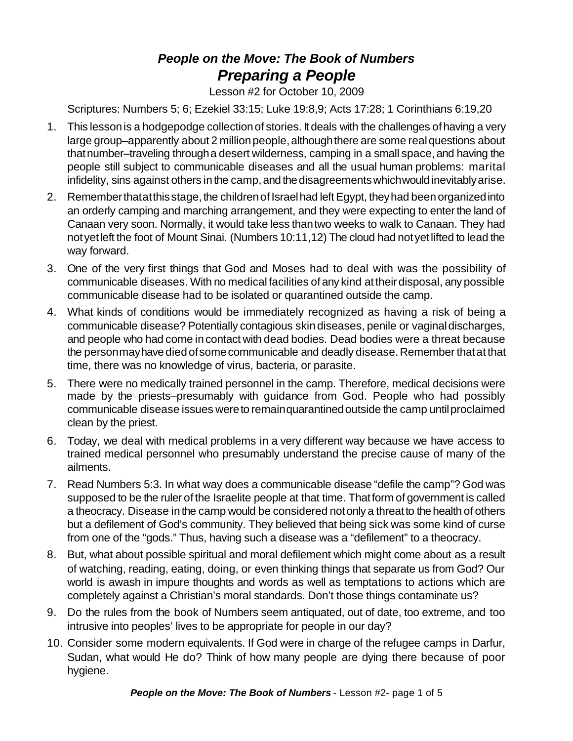## *People on the Move: The Book of Numbers Preparing a People*

Lesson #2 for October 10, 2009

Scriptures: Numbers 5; 6; Ezekiel 33:15; Luke 19:8,9; Acts 17:28; 1 Corinthians 6:19,20

- 1. This lessonis a hodgepodge collectionof stories. It deals with the challenges of having a very large group–apparently about 2 million people, although there are some real questions about that number–traveling through a desert wilderness, camping in a small space, and having the people still subject to communicable diseases and all the usual human problems: marital infidelity, sins against others in the camp, and the disagreements which would inevitably arise.
- 2. Remember thatat this stage, the children of Israel had left Egypt, they had been organized into an orderly camping and marching arrangement, and they were expecting to enter the land of Canaan very soon. Normally, it would take less thantwo weeks to walk to Canaan. They had notyetleft the foot of Mount Sinai. (Numbers 10:11,12) The cloud had notyetlifted to lead the way forward.
- 3. One of the very first things that God and Moses had to deal with was the possibility of communicable diseases. With no medicalfacilities of any kind attheirdisposal, any possible communicable disease had to be isolated or quarantined outside the camp.
- 4. What kinds of conditions would be immediately recognized as having a risk of being a communicable disease? Potentially contagious skindiseases, penile or vaginaldischarges, and people who had come in contact with dead bodies. Dead bodies were a threat because the personmay have died of some communicable and deadly disease. Remember that at that time, there was no knowledge of virus, bacteria, or parasite.
- 5. There were no medically trained personnel in the camp. Therefore, medical decisions were made by the priests–presumably with guidance from God. People who had possibly communicable disease issues wereto remainquarantinedoutside the camp untilproclaimed clean by the priest.
- 6. Today, we deal with medical problems in a very different way because we have access to trained medical personnel who presumably understand the precise cause of many of the ailments.
- 7. Read Numbers 5:3. In what way does a communicable disease "defile the camp"? God was supposed to be the ruler of the Israelite people at that time. Thatform of government is called a theocracy. Disease in the camp would be considered notonly a threatto the health of others but a defilement of God's community. They believed that being sick was some kind of curse from one of the "gods." Thus, having such a disease was a "defilement" to a theocracy.
- 8. But, what about possible spiritual and moral defilement which might come about as a result of watching, reading, eating, doing, or even thinking things that separate us from God? Our world is awash in impure thoughts and words as well as temptations to actions which are completely against a Christian's moral standards. Don't those things contaminate us?
- 9. Do the rules from the book of Numbers seem antiquated, out of date, too extreme, and too intrusive into peoples' lives to be appropriate for people in our day?
- 10. Consider some modern equivalents. If God were in charge of the refugee camps in Darfur, Sudan, what would He do? Think of how many people are dying there because of poor hygiene.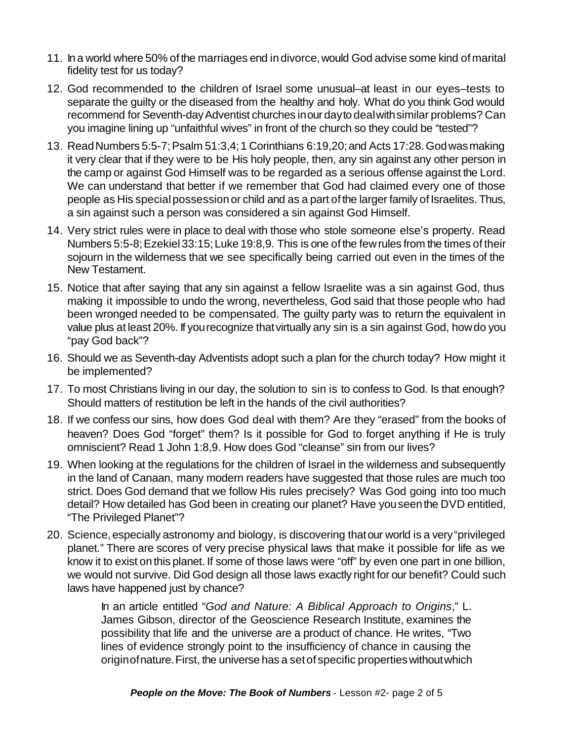- 11. In a world where 50% of the marriages end in divorce,would God advise some kind of marital fidelity test for us today?
- 12. God recommended to the children of Israel some unusual–at least in our eyes–tests to separate the guilty or the diseased from the healthy and holy. What do you think God would recommend for Seventh-dayAdventist churches inour dayto dealwithsimilar problems? Can you imagine lining up "unfaithful wives" in front of the church so they could be "tested"?
- 13. ReadNumbers 5:5-7;Psalm 51:3,4;1 Corinthians 6:19,20;and Acts 17:28.Godwasmaking it very clear that if they were to be His holy people, then, any sin against any other person in the camp or against God Himself was to be regarded as a serious offense against the Lord. We can understand that better if we remember that God had claimed every one of those people as His special possession or child and as a part of the larger family of Israelites. Thus, a sin against such a person was considered a sin against God Himself.
- 14. Very strict rules were in place to deal with those who stole someone else's property. Read Numbers 5:5-8;Ezekiel33:15;Luke 19:8,9. This is one of the fewrules from the times of their sojourn in the wilderness that we see specifically being carried out even in the times of the New Testament.
- 15. Notice that after saying that any sin against a fellow Israelite was a sin against God, thus making it impossible to undo the wrong, nevertheless, God said that those people who had been wronged needed to be compensated. The guilty party was to return the equivalent in value plus at least 20%. If yourecognize thatvirtually any sin is a sin against God, howdo you "pay God back"?
- 16. Should we as Seventh-day Adventists adopt such a plan for the church today? How might it be implemented?
- 17. To most Christians living in our day, the solution to sin is to confess to God. Is that enough? Should matters of restitution be left in the hands of the civil authorities?
- 18. If we confess our sins, how does God deal with them? Are they "erased" from the books of heaven? Does God "forget" them? Is it possible for God to forget anything if He is truly omniscient? Read 1 John 1:8,9. How does God "cleanse" sin from our lives?
- 19. When looking at the regulations for the children of Israel in the wilderness and subsequently in the land of Canaan, many modern readers have suggested that those rules are much too strict. Does God demand that we follow His rules precisely? Was God going into too much detail? How detailed has God been in creating our planet? Have you seen the DVD entitled, "The Privileged Planet"?
- 20. Science, especially astronomy and biology, is discovering that our world is a very "privileged planet." There are scores of very precise physical laws that make it possible for life as we know it to exist on this planet. If some of those laws were "off" by even one part in one billion, we would not survive. Did God design all those laws exactly right for our benefit? Could such laws have happened just by chance?

In an article entitled "*God and Nature: A Biblical Approach to Origins*," L. James Gibson, director of the Geoscience Research Institute, examines the possibility that life and the universe are a product of chance. He writes, "Two lines of evidence strongly point to the insufficiency of chance in causing the originofnature.First, the universe has a setof specific propertieswithoutwhich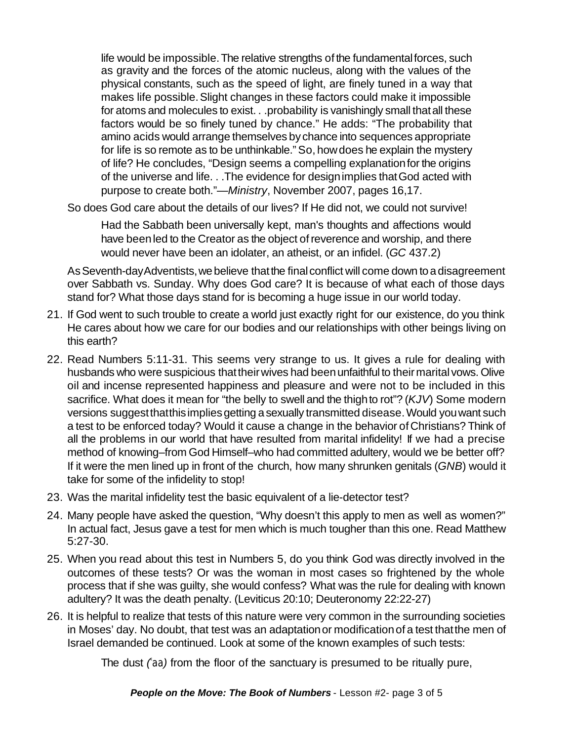life would be impossible.The relative strengths of the fundamentalforces, such as gravity and the forces of the atomic nucleus, along with the values of the physical constants, such as the speed of light, are finely tuned in a way that makes life possible.Slight changes in these factors could make it impossible for atoms and molecules to exist. . .probability is vanishingly small thatall these factors would be so finely tuned by chance." He adds: "The probability that amino acids would arrange themselves by chance into sequences appropriate for life is so remote as to be unthinkable."So, howdoes he explain the mystery of life? He concludes, "Design seems a compelling explanationfor the origins of the universe and life. . .The evidence for designimplies thatGod acted with purpose to create both."—*Ministry*, November 2007, pages 16,17.

So does God care about the details of our lives? If He did not, we could not survive!

Had the Sabbath been universally kept, man's thoughts and affections would have been led to the Creator as the object of reverence and worship, and there would never have been an idolater, an atheist, or an infidel. (*GC* 437.2)

As Seventh-day Adventists, we believe that the final conflict will come down to a disagreement over Sabbath vs. Sunday. Why does God care? It is because of what each of those days stand for? What those days stand for is becoming a huge issue in our world today.

- 21. If God went to such trouble to create a world just exactly right for our existence, do you think He cares about how we care for our bodies and our relationships with other beings living on this earth?
- 22. Read Numbers 5:11-31. This seems very strange to us. It gives a rule for dealing with husbands who were suspicious that their wives had been unfaithful to their marital vows. Olive oil and incense represented happiness and pleasure and were not to be included in this sacrifice. What does it mean for "the belly to swell and the thighto rot"? (*KJV*) Some modern versions suggest that this implies getting a sexually transmitted disease. Would you want such a test to be enforced today? Would it cause a change in the behavior of Christians? Think of all the problems in our world that have resulted from marital infidelity! If we had a precise method of knowing–from God Himself–who had committed adultery, would we be better off? If it were the men lined up in front of the church, how many shrunken genitals (*GNB*) would it take for some of the infidelity to stop!
- 23. Was the marital infidelity test the basic equivalent of a lie-detector test?
- 24. Many people have asked the question, "Why doesn't this apply to men as well as women?" In actual fact, Jesus gave a test for men which is much tougher than this one. Read Matthew 5:27-30.
- 25. When you read about this test in Numbers 5, do you think God was directly involved in the outcomes of these tests? Or was the woman in most cases so frightened by the whole process that if she was guilty, she would confess? What was the rule for dealing with known adultery? It was the death penalty. (Leviticus 20:10; Deuteronomy 22:22-27)
- 26. It is helpful to realize that tests of this nature were very common in the surrounding societies in Moses' day. No doubt, that test was an adaptationor modificationof a test thatthe men of Israel demanded be continued. Look at some of the known examples of such tests:

The dust *(*)*aa)* from the floor of the sanctuary is presumed to be ritually pure,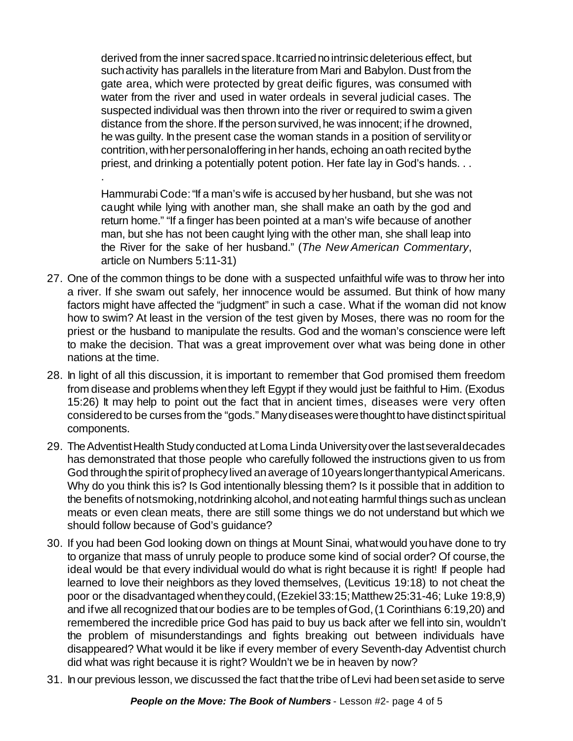derived from the inner sacred space. It carried no intrinsic deleterious effect, but suchactivity has parallels in the literature from Mari and Babylon. Dust from the gate area, which were protected by great deific figures, was consumed with water from the river and used in water ordeals in several judicial cases. The suspected individual was then thrown into the river or required to swima given distance from the shore. If the person survived, he was innocent; if he drowned, he was guilty. In the present case the woman stands in a position of servilityor contrition, with her personal offering in her hands, echoing an oath recited by the priest, and drinking a potentially potent potion. Her fate lay in God's hands. . .

Hammurabi Code:"If a man's wife is accused byher husband, but she was not caught while lying with another man, she shall make an oath by the god and return home." "If a finger has been pointed at a man's wife because of another man, but she has not been caught lying with the other man, she shall leap into the River for the sake of her husband." (*The New American Commentary*, article on Numbers 5:11-31)

.

- 27. One of the common things to be done with a suspected unfaithful wife was to throw her into a river. If she swam out safely, her innocence would be assumed. But think of how many factors might have affected the "judgment" in such a case. What if the woman did not know how to swim? At least in the version of the test given by Moses, there was no room for the priest or the husband to manipulate the results. God and the woman's conscience were left to make the decision. That was a great improvement over what was being done in other nations at the time.
- 28. In light of all this discussion, it is important to remember that God promised them freedom from disease and problems when they left Egypt if they would just be faithful to Him. (Exodus 15:26) It may help to point out the fact that in ancient times, diseases were very often considered to be curses from the "gods." Many diseases were thought to have distinct spiritual components.
- 29. The Adventist Health Study conducted at Loma Linda University over the last several decades has demonstrated that those people who carefully followed the instructions given to us from God through the spirit of prophecy lived an average of 10 years longer thantypical Americans. Why do you think this is? Is God intentionally blessing them? Is it possible that in addition to the benefits of notsmoking, notdrinking alcohol, and not eating harmful things such as unclean meats or even clean meats, there are still some things we do not understand but which we should follow because of God's guidance?
- 30. If you had been God looking down on things at Mount Sinai, whatwould youhave done to try to organize that mass of unruly people to produce some kind of social order? Of course, the ideal would be that every individual would do what is right because it is right! If people had learned to love their neighbors as they loved themselves, (Leviticus 19:18) to not cheat the poor or the disadvantaged whentheycould,(Ezekiel33:15;Matthew25:31-46; Luke 19:8,9) and if we all recognized that our bodies are to be temples of God, (1 Corinthians 6:19,20) and remembered the incredible price God has paid to buy us back after we fell into sin, wouldn't the problem of misunderstandings and fights breaking out between individuals have disappeared? What would it be like if every member of every Seventh-day Adventist church did what was right because it is right? Wouldn't we be in heaven by now?
- 31. In our previous lesson, we discussed the fact thatthe tribe of Levi had beensetaside to serve